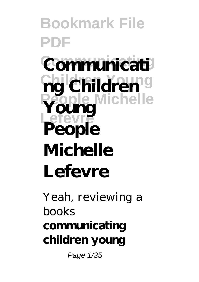**Bookmark File PDF Communicati ng Children People Michelle Young Lefevre People Michelle Lefevre**

Yeah, reviewing a books **communicating children young** Page 1/35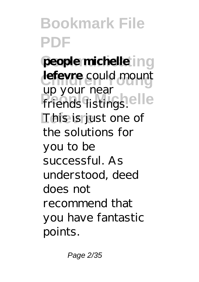people michelle ing **lefevre** could mount **People Michelle** friends listings. This is just one of up your near the solutions for you to be successful. As understood, deed does not recommend that you have fantastic points.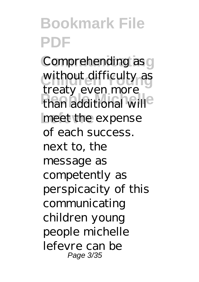Comprehending as g without difficulty as than additional will<sup>e</sup> meet the expense treaty even more of each success. next to, the message as competently as perspicacity of this communicating children young people michelle lefevre can be Page 3/35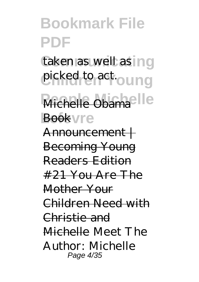taken as well as ing picked to act.oung

Michelle Obama<sup>e</sup>lle Bookvre

Announcement | Becoming Young Readers Edition  $#21$  You Are The Mother Your Children Need with Christie and Michelle *Meet The Author: Michelle* Page 4/35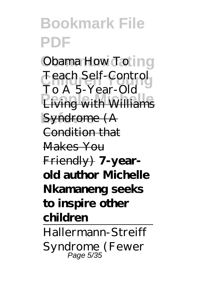*Cbama How To* ing **Children Young** *Teach Self-Control* **People Michelle** Living with Williams Syndrome (A *To A 5-Year-Old* Condition that Makes You Friendly) **7-yearold author Michelle Nkamaneng seeks to inspire other children** Hallermann-Streiff Syndrome (Fewer Page 5/35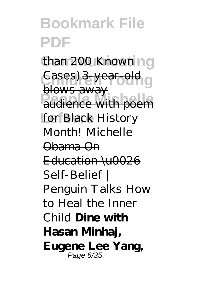than 200 Known ng Cases) 3-year-old<br>blasses **Profits** and *poem* for **Black History** blows away Month! Michelle Obama On Education \u0026 Self-Belief | Penguin Talks *How to Heal the Inner Child* **Dine with Hasan Minhaj, Eugene Lee Yang,** Page 6/35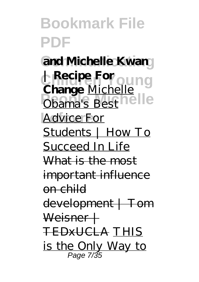**Bookmark File PDF** and Michelle Kwan **Recipe For quing Phama's Best Telle Advice For | Recipe For Change** Michelle Obama's Best Students | How To Succeed In Life What is the most important influence on child development | Tom Weisner + TEDxUCLA THIS is the Only Way to Page 7/35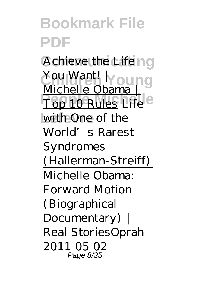#### **Bookmark File PDF Achieve the Life ng** You Want! I Young **People Michelle** Top 10 Rules *Life* **Lefevre** *with One of the* Michelle Obama | *World's Rarest*

*Syndromes (Hallerman-Streiff)* Michelle Obama: Forward Motion (Biographical Documentary) | Real StoriesOprah 2011 05 02 Page 8/35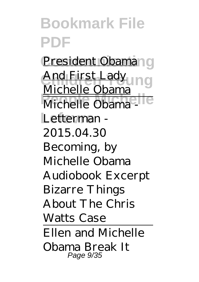**Bookmark File PDF** President Obaman g And First Lady<br>Mishells Ohama Michelle Obama - C Letterman -Michelle Obama 2015.04.30 Becoming, by Michelle Obama Audiobook Excerpt *Bizarre Things About The Chris Watts Case* Ellen and Michelle Obama Break It Page 9/35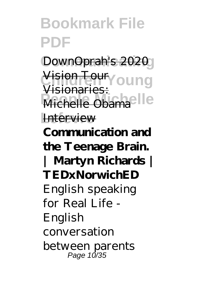DownOprah's 2020 Vision Toury oung **Michelle Obamaelle Interview** Visionaries:

**Communication and the Teenage Brain. | Martyn Richards | TEDxNorwichED** *English speaking for Real Life - English conversation between parents* Page 10/35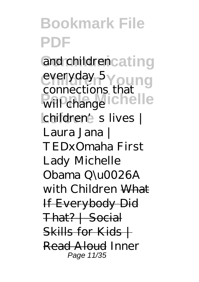and childrencating everyday 5**Young** *<u>Perincetion</u>* **Chelle Lefevre** *children's lives | connections that Laura Jana | TEDxOmaha* First Lady Michelle Obama Q\u0026A with Children What If Everybody Did That? | Social  $Skills$  for  $Kids$ Read Aloud *Inner* Page 11/35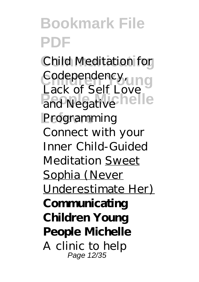*Child Meditation for Codependency,* **Patter of Both Love let Lefevre** *Programming Lack of Self Love Connect with your Inner Child-Guided Meditation* Sweet Sophia (Never Underestimate Her) **Communicating Children Young People Michelle** A clinic to help Page 12/35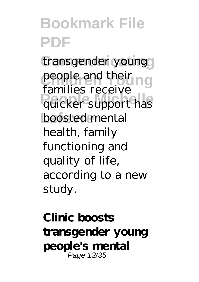transgender young people and their ng **Permitted** Processes boosted mental families receive health, family functioning and quality of life, according to a new study.

**Clinic boosts transgender young people's mental** Page 13/35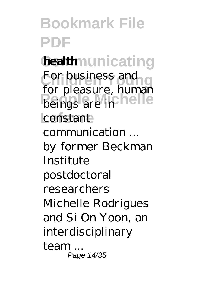**health**nunicating For business and beings are in **nelle** constant for pleasure, human communication ... by former Beckman Institute postdoctoral researchers Michelle Rodrigues and Si On Yoon, an interdisciplinary team ... Page 14/35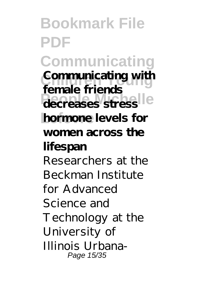**Bookmark File PDF Communicating Communicating with decreases stress hormone** levels for **female friends women across the lifespan** Researchers at the Beckman Institute for Advanced Science and Technology at the University of Illinois Urbana-Page 15/35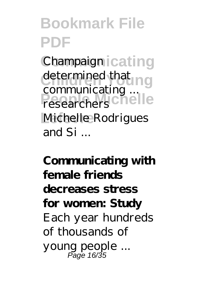**Champaign icating** determined that **Pesearchers** Chelle Michelle Rodrigues communicating ... researchers and Si ...

**Communicating with female friends decreases stress for women: Study** Each year hundreds of thousands of young people ... Page 16/35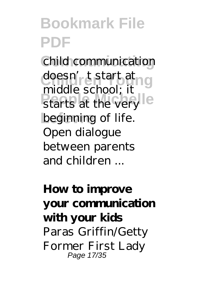**Communicating** child communication doesn'<sub>r</sub>t start at ng **Personal Michelle** beginning of life. middle school; it Open dialogue between parents and children ...

**How to improve your communication with your kids** Paras Griffin/Getty Former First Lady Page 17/35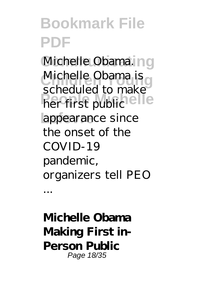Michelle Obama. ng Michelle Obama is **Perfirst public elle Lefevre** appearance since scheduled to make the onset of the COVID-19 pandemic, organizers tell PEO ...

**Michelle Obama Making First in-Person Public** Page 18/35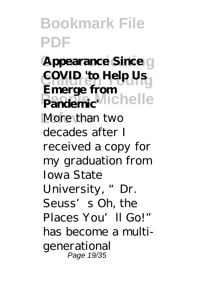**Appearance Since g COVID** 'to Help Us **Pandemic**<sup>Michelle</sup> More than two **Emerge from** decades after I received a copy for my graduation from Iowa State University, "Dr. Seuss's Oh, the Places You'll Go!" has become a multigenerational Page 19/35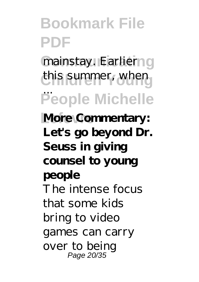#### **Bookmark File PDF** mainstay. Earlierng this summer, when **People Michelle More Commentary:** ... **Let's go beyond Dr. Seuss in giving counsel to young people** The intense focus that some kids bring to video games can carry over to being Page 20/35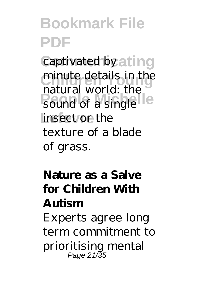captivated by ating minute details in the **People** Sound of a single insect or the natural world: the texture of a blade of grass.

#### **Nature as a Salve for Children With Autism**

Experts agree long term commitment to prioritising mental Page 21/35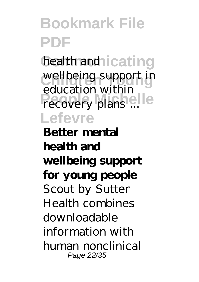health and icating wellbeing support in recovery plans ... **Lefevre** education within

**Better mental health and wellbeing support for young people** Scout by Sutter Health combines downloadable information with human nonclinical Page 22/35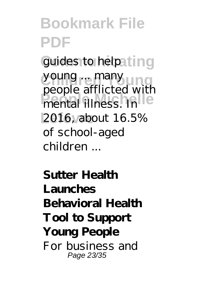#### **Bookmark File PDF** guides to helpating **Children Young** young ... many people annexed with **Lefevre** 2016, about 16.5% people afflicted with of school-aged children ...

**Sutter Health Launches Behavioral Health Tool to Support Young People** For business and Page 23/35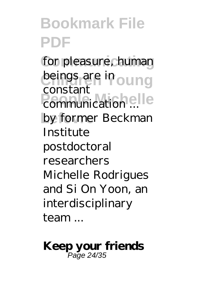for pleasure, human beings are in oung **People**<br>communication ... by former Beckman constant Institute postdoctoral researchers Michelle Rodrigues and Si On Yoon, an interdisciplinary team ...

**Keep your friends** Page 24/35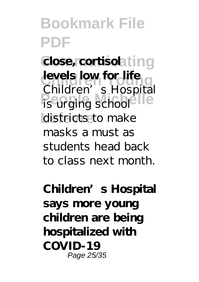$close,$  cortisolating **levels low for life Performance** Michelle districts to make Children's Hospital masks a must as students head back to class next month.

**Children's Hospital says more young children are being hospitalized with COVID-19** Page 25/35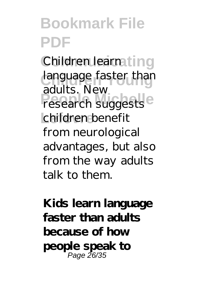Children learnating language faster than research suggests<sup>e</sup> **Lefevre** children benefit adults. New from neurological advantages, but also from the way adults talk to them.

**Kids learn language faster than adults because of how people speak to** Page 26/35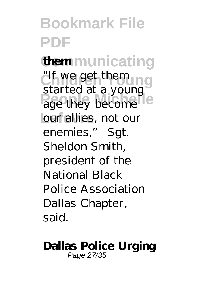#### **Bookmark File PDF Communicating them** <sup>"If we get them" g</sup> age they become **Lefevre** our allies, not our started at a young enemies," Sgt. Sheldon Smith, president of the National Black Police Association Dallas Chapter, said.

#### **Dallas Police Urging** Page 27/35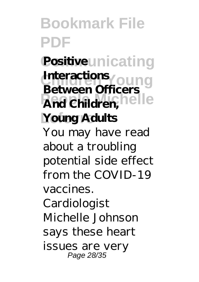#### **Bookmark File PDF Positive**unicating **Interactions**<br> **P**etrose OC 0.0110 **And Children, Telle** Young Adults **Between Officers** You may have read about a troubling potential side effect from the COVID-19 vaccines. Cardiologist Michelle Johnson says these heart issues are very Page 28/35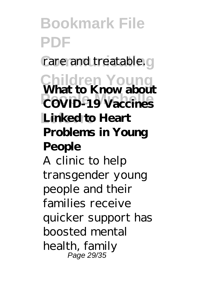**Bookmark File PDF** rare and treatable.g **Children Young What to Know about PEOPLE COVID-19 Vaccines** Linked to Heart **Problems in Young People** A clinic to help transgender young people and their families receive quicker support has boosted mental health, family Page 29/35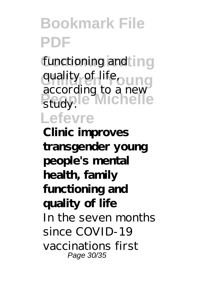functioning and ing quality of life<sub>oung</sub> **People Michelle Lefevre** according to a new study.

**Clinic improves transgender young people's mental health, family functioning and quality of life** In the seven months since COVID-19 vaccinations first Page 30/35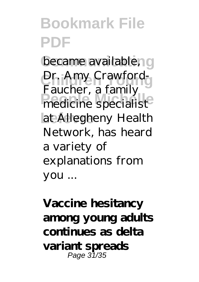became available, g Dr. Amy Crawfordmedicine specialist<sup>®</sup> at Allegheny Health Faucher, a family Network, has heard a variety of explanations from you ...

**Vaccine hesitancy among young adults continues as delta variant spreads** Page 31/35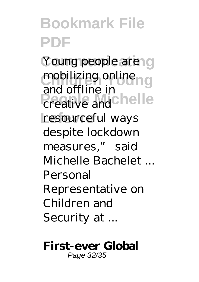Young people are g mobilizing online **Preative and Chelle** resourceful ways and offline in despite lockdown measures," said Michelle Bachelet ... Personal Representative on Children and Security at ...

#### **First-ever Global** Page 32/35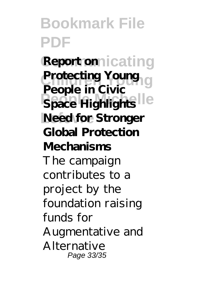#### **Bookmark File PDF Report on** icating Protecting Young<br>**Protecting People Michelle Need for Stronger People in Civic Global Protection Mechanisms** The campaign contributes to a project by the foundation raising funds for Augmentative and Alternative Page 33/35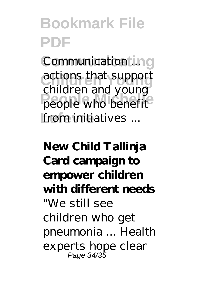**Communicating** Communication ... **Children Young** actions that support people who benefit from initiatives ... children and young

**New Child Tallinja Card campaign to empower children with different needs** "We still see children who get pneumonia ... Health experts hope clear Page 34/35